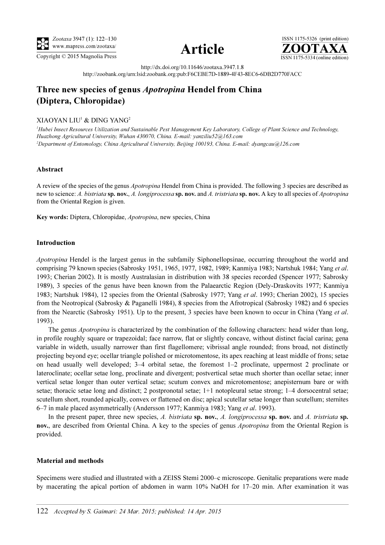





http://dx.doi.org/10.11646/zootaxa.3947.1.8 http://zoobank.org/urn:lsid:zoobank.org:pub:F6CEBE7D-1889-4F43-8EC6-6DB2D770FACC

# Three new species of genus Apotropina Hendel from China (Diptera, Chloropidae)

## XIAOYAN LIU<sup>1</sup> & DING YANG<sup>2</sup>

<sup>1</sup>Hubei Insect Resources Utilization and Sustainable Pest Management Key Laboratory, College of Plant Science and Technology, Huazhong Agricultural University, Wuhan 430070, China. E-mail: yanziliu52@163.com 2 Department of Entomology, China Agricultural University, Beijing 100193, China. E-mail: dyangcau@126.com

## Abstract

A review of the species of the genus Apotropina Hendel from China is provided. The following 3 species are described as new to science: A. bistriata sp. nov., A. longiprocessa sp. nov. and A. tristriata sp. nov. A key to all species of Apotropina from the Oriental Region is given.

Key words: Diptera, Chloropidae, Apotropina, new species, China

## Introduction

Apotropina Hendel is the largest genus in the subfamily Siphonellopsinae, occurring throughout the world and comprising 79 known species (Sabrosky 1951, 1965, 1977, 1982, 1989; Kanmiya 1983; Nartshuk 1984; Yang et al. 1993; Cherian 2002). It is mostly Australasian in distribution with 38 species recorded (Spencer 1977; Sabrosky 1989), 3 species of the genus have been known from the Palaearctic Region (Dely-Draskovits 1977; Kanmiya 1983; Nartshuk 1984), 12 species from the Oriental (Sabrosky 1977; Yang et al. 1993; Cherian 2002), 15 species from the Neotropical (Sabrosky & Paganelli 1984), 8 species from the Afrotropical (Sabrosky 1982) and 6 species from the Nearctic (Sabrosky 1951). Up to the present, 3 species have been known to occur in China (Yang *et al.*) 1993).

The genus *Apotropina* is characterized by the combination of the following characters: head wider than long, in profile roughly square or trapezoidal; face narrow, flat or slightly concave, without distinct facial carina; gena variable in wideth, usually narrower than first flagellomere; vibrissal angle rounded; frons broad, not distinctly projecting beyond eye; ocellar triangle polished or microtomentose, its apex reaching at least middle of frons; setae on head usually well developed; 3–4 orbital setae, the foremost 1–2 proclinate, uppermost 2 proclinate or lateroclinate; ocellar setae long, proclinate and divergent; postvertical setae much shorter than ocellar setae; inner vertical setae longer than outer vertical setae; scutum convex and microtomentose; anepisternum bare or with setae; thoracic setae long and distinct; 2 postpronotal setae; 1+1 notopleural setae strong; 1–4 dorsocentral setae; scutellum short, rounded apically, convex or flattened on disc; apical scutellar setae longer than scutellum; sternites 6–7 in male placed asymmetrically (Andersson 1977; Kanmiya 1983; Yang et al. 1993).

In the present paper, three new species, A. bistriata sp. nov., A. longiprocessa sp. nov. and A. tristriata sp. nov., are described from Oriental China. A key to the species of genus *Apotropina* from the Oriental Region is provided.

## Material and methods

Specimens were studied and illustrated with a ZEISS Stemi 2000–c microscope. Genitalic preparations were made by macerating the apical portion of abdomen in warm 10% NaOH for 17–20 min. After examination it was